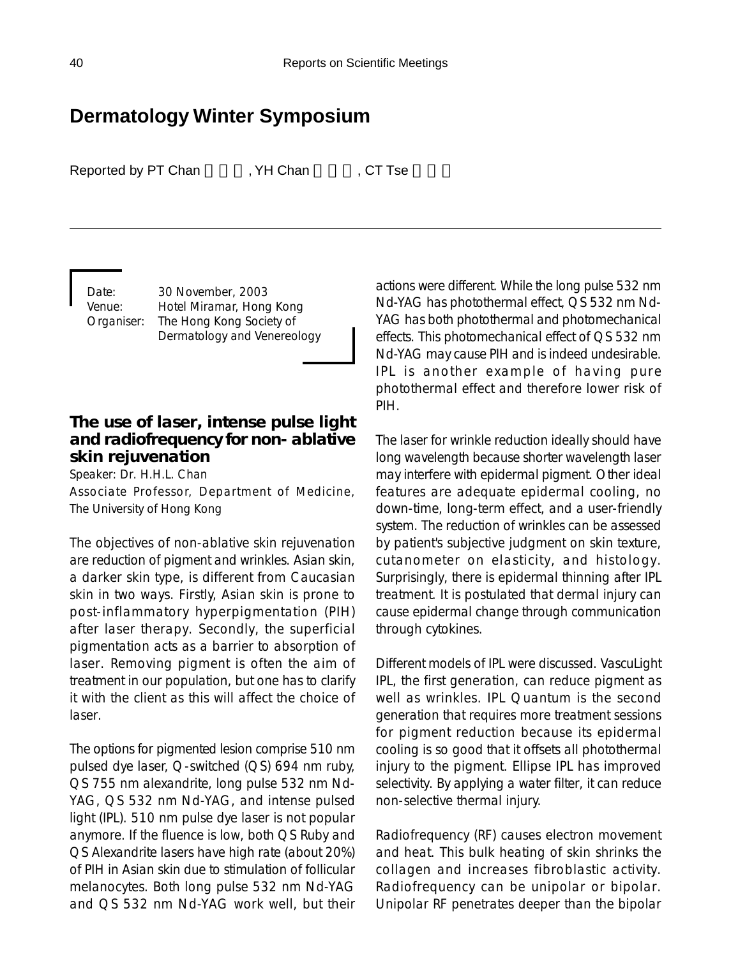# **Dermatology Winter Symposium**

Reported by PT Chan FRI WH Chan FRI ST Tse

Date: 30 November, 2003 Venue: Hotel Miramar, Hong Kong Organiser: The Hong Kong Society of Dermatology and Venereology

# **The use of laser, intense pulse light and radiofrequency for non- ablative skin rejuvenation**

Speaker: Dr. H.H.L. Chan Associate Professor, Department of Medicine, The University of Hong Kong

The objectives of non-ablative skin rejuvenation are reduction of pigment and wrinkles. Asian skin, a darker skin type, is different from Caucasian skin in two ways. Firstly, Asian skin is prone to post-inflammatory hyperpigmentation (PIH) after laser therapy. Secondly, the superficial pigmentation acts as a barrier to absorption of laser. Removing pigment is often the aim of treatment in our population, but one has to clarify it with the client as this will affect the choice of laser.

The options for pigmented lesion comprise 510 nm pulsed dye laser, Q-switched (QS) 694 nm ruby, QS 755 nm alexandrite, long pulse 532 nm Nd-YAG, QS 532 nm Nd-YAG, and intense pulsed light (IPL). 510 nm pulse dye laser is not popular anymore. If the fluence is low, both QS Ruby and QS Alexandrite lasers have high rate (about 20%) of PIH in Asian skin due to stimulation of follicular melanocytes. Both long pulse 532 nm Nd-YAG and QS 532 nm Nd-YAG work well, but their

actions were different. While the long pulse 532 nm Nd-YAG has photothermal effect, QS 532 nm Nd-YAG has both photothermal and photomechanical effects. This photomechanical effect of QS 532 nm Nd-YAG may cause PIH and is indeed undesirable. IPL is another example of having pure photothermal effect and therefore lower risk of PIH.

The laser for wrinkle reduction ideally should have long wavelength because shorter wavelength laser may interfere with epidermal pigment. Other ideal features are adequate epidermal cooling, no down-time, long-term effect, and a user-friendly system. The reduction of wrinkles can be assessed by patient's subjective judgment on skin texture, cutanometer on elasticity, and histology. Surprisingly, there is epidermal thinning after IPL treatment. It is postulated that dermal injury can cause epidermal change through communication through cytokines.

Different models of IPL were discussed. VascuLight IPL, the first generation, can reduce pigment as well as wrinkles. IPL Quantum is the second generation that requires more treatment sessions for pigment reduction because its epidermal cooling is so good that it offsets all photothermal injury to the pigment. Ellipse IPL has improved selectivity. By applying a water filter, it can reduce non-selective thermal injury.

Radiofrequency (RF) causes electron movement and heat. This bulk heating of skin shrinks the collagen and increases fibroblastic activity. Radiofrequency can be unipolar or bipolar. Unipolar RF penetrates deeper than the bipolar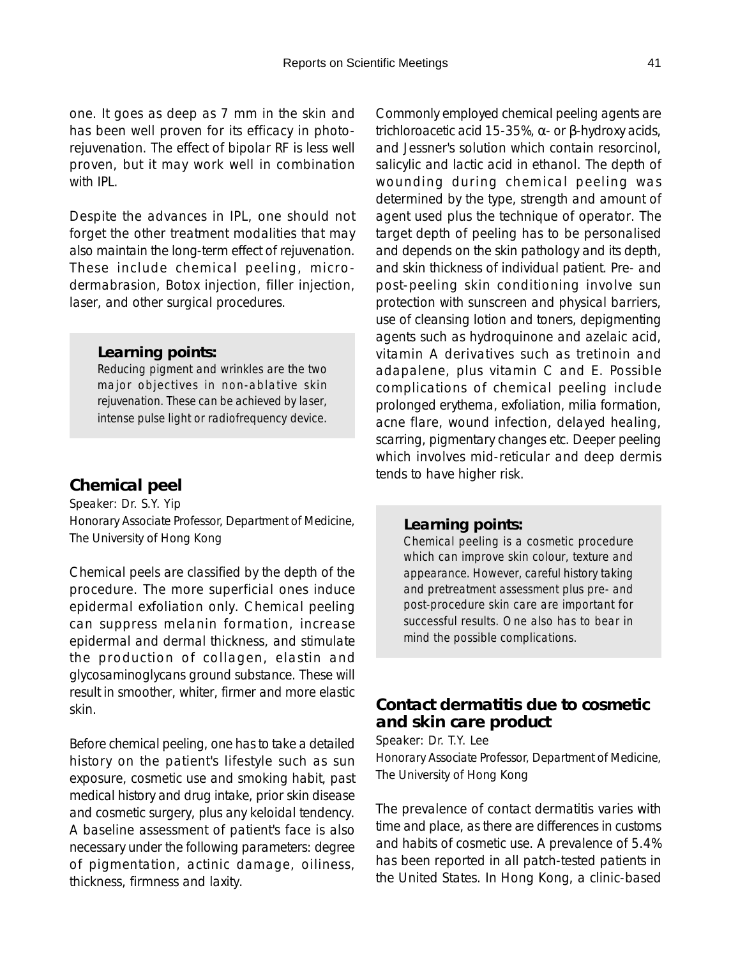one. It goes as deep as 7 mm in the skin and has been well proven for its efficacy in photorejuvenation. The effect of bipolar RF is less well proven, but it may work well in combination with **IPL**.

Despite the advances in IPL, one should not forget the other treatment modalities that may also maintain the long-term effect of rejuvenation. These include chemical peeling, microdermabrasion, Botox injection, filler injection, laser, and other surgical procedures.

#### *Learning points:*

*Reducing pigment and wrinkles are the two major objectives in non-ablative skin rejuvenation. These can be achieved by laser, intense pulse light or radiofrequency device.*

### **Chemical peel**

Speaker: Dr. S.Y. Yip Honorary Associate Professor, Department of Medicine, The University of Hong Kong

Chemical peels are classified by the depth of the procedure. The more superficial ones induce epidermal exfoliation only. Chemical peeling can suppress melanin formation, increase epidermal and dermal thickness, and stimulate the production of collagen, elastin and glycosaminoglycans ground substance. These will result in smoother, whiter, firmer and more elastic skin.

Before chemical peeling, one has to take a detailed history on the patient's lifestyle such as sun exposure, cosmetic use and smoking habit, past medical history and drug intake, prior skin disease and cosmetic surgery, plus any keloidal tendency. A baseline assessment of patient's face is also necessary under the following parameters: degree of pigmentation, actinic damage, oiliness, thickness, firmness and laxity.

Commonly employed chemical peeling agents are trichloroacetic acid 15-35%, α- or β-hydroxy acids, and Jessner's solution which contain resorcinol, salicylic and lactic acid in ethanol. The depth of wounding during chemical peeling was determined by the type, strength and amount of agent used plus the technique of operator. The target depth of peeling has to be personalised and depends on the skin pathology and its depth, and skin thickness of individual patient. Pre- and post-peeling skin conditioning involve sun protection with sunscreen and physical barriers, use of cleansing lotion and toners, depigmenting agents such as hydroquinone and azelaic acid, vitamin A derivatives such as tretinoin and adapalene, plus vitamin C and E. Possible complications of chemical peeling include prolonged erythema, exfoliation, milia formation, acne flare, wound infection, delayed healing, scarring, pigmentary changes etc. Deeper peeling which involves mid-reticular and deep dermis tends to have higher risk.

#### *Learning points:*

*Chemical peeling is a cosmetic procedure which can improve skin colour, texture and appearance. However, careful history taking and pretreatment assessment plus pre- and post-procedure skin care are important for successful results. One also has to bear in mind the possible complications.*

## **Contact dermatitis due to cosmetic and skin care product**

Speaker: Dr. T.Y. Lee

Honorary Associate Professor, Department of Medicine, The University of Hong Kong

The prevalence of contact dermatitis varies with time and place, as there are differences in customs and habits of cosmetic use. A prevalence of 5.4% has been reported in all patch-tested patients in the United States. In Hong Kong, a clinic-based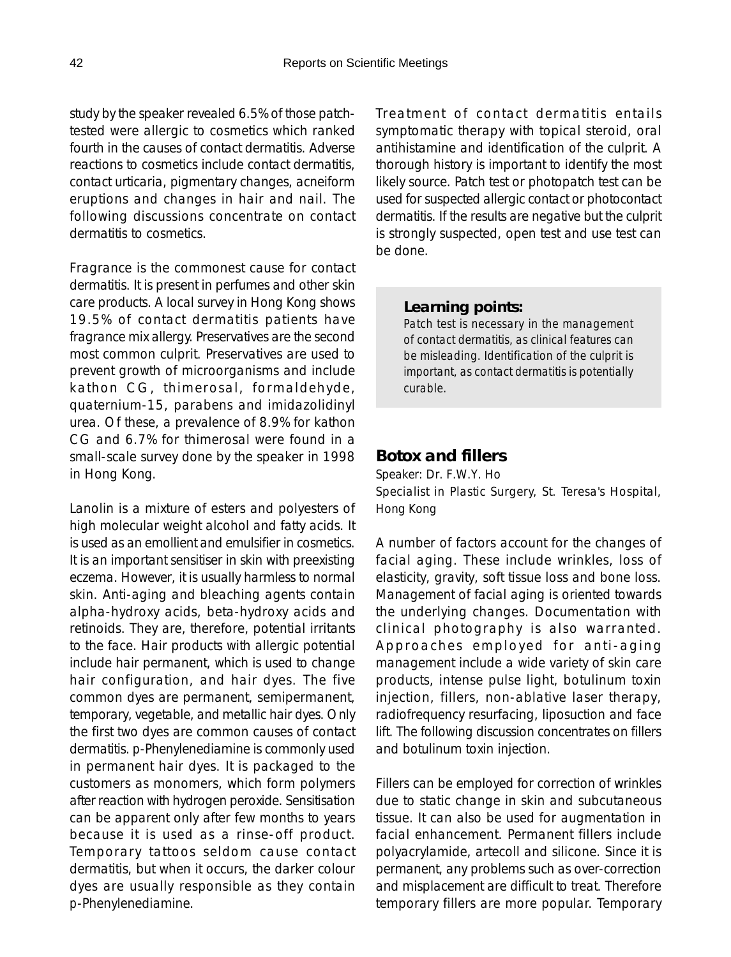study by the speaker revealed 6.5% of those patchtested were allergic to cosmetics which ranked fourth in the causes of contact dermatitis. Adverse reactions to cosmetics include contact dermatitis, contact urticaria, pigmentary changes, acneiform eruptions and changes in hair and nail. The following discussions concentrate on contact dermatitis to cosmetics.

Fragrance is the commonest cause for contact dermatitis. It is present in perfumes and other skin care products. A local survey in Hong Kong shows 19.5% of contact dermatitis patients have fragrance mix allergy. Preservatives are the second most common culprit. Preservatives are used to prevent growth of microorganisms and include kathon CG, thimerosal, formaldehyde, quaternium-15, parabens and imidazolidinyl urea. Of these, a prevalence of 8.9% for kathon CG and 6.7% for thimerosal were found in a small-scale survey done by the speaker in 1998 in Hong Kong.

Lanolin is a mixture of esters and polyesters of high molecular weight alcohol and fatty acids. It is used as an emollient and emulsifier in cosmetics. It is an important sensitiser in skin with preexisting eczema. However, it is usually harmless to normal skin. Anti-aging and bleaching agents contain alpha-hydroxy acids, beta-hydroxy acids and retinoids. They are, therefore, potential irritants to the face. Hair products with allergic potential include hair permanent, which is used to change hair configuration, and hair dyes. The five common dyes are permanent, semipermanent, temporary, vegetable, and metallic hair dyes. Only the first two dyes are common causes of contact dermatitis. *p*-Phenylenediamine is commonly used in permanent hair dyes. It is packaged to the customers as monomers, which form polymers after reaction with hydrogen peroxide. Sensitisation can be apparent only after few months to years because it is used as a rinse-off product. Temporary tattoos seldom cause contact dermatitis, but when it occurs, the darker colour dyes are usually responsible as they contain *p*-Phenylenediamine.

Treatment of contact dermatitis entails symptomatic therapy with topical steroid, oral antihistamine and identification of the culprit. A thorough history is important to identify the most likely source. Patch test or photopatch test can be used for suspected allergic contact or photocontact dermatitis. If the results are negative but the culprit is strongly suspected, open test and use test can be done.

#### *Learning points:*

*Patch test is necessary in the management of contact dermatitis, as clinical features can be misleading. Identification of the culprit is important, as contact dermatitis is potentially curable.*

### **Botox and fillers**

Speaker: Dr. F.W.Y. Ho Specialist in Plastic Surgery, St. Teresa's Hospital, Hong Kong

A number of factors account for the changes of facial aging. These include wrinkles, loss of elasticity, gravity, soft tissue loss and bone loss. Management of facial aging is oriented towards the underlying changes. Documentation with clinical photography is also warranted. Approaches employed for anti-aging management include a wide variety of skin care products, intense pulse light, botulinum toxin injection, fillers, non-ablative laser therapy, radiofrequency resurfacing, liposuction and face lift. The following discussion concentrates on fillers and botulinum toxin injection.

Fillers can be employed for correction of wrinkles due to static change in skin and subcutaneous tissue. It can also be used for augmentation in facial enhancement. Permanent fillers include polyacrylamide, artecoll and silicone. Since it is permanent, any problems such as over-correction and misplacement are difficult to treat. Therefore temporary fillers are more popular. Temporary